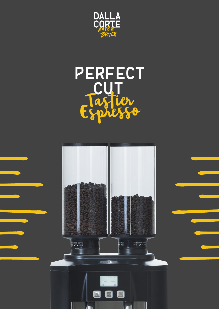

## **PERFECT CUT**E  $880$  $\mathbf{p}^{\prime}$